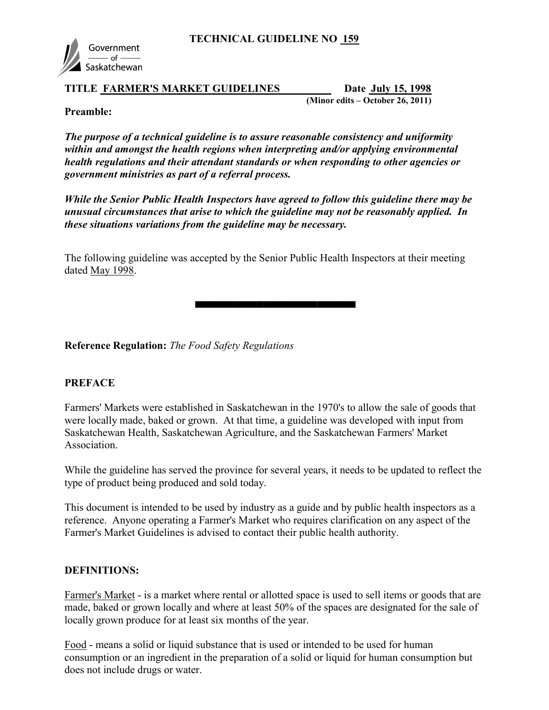

#### TITLE FARMER'S MARKET GUIDELINES Date July 15, 1998

(Minor edits – October 26, 2011)

#### Preamble:

The purpose of a technical guideline is to assure reasonable consistency and uniformity within and amongst the health regions when interpreting and/or applying environmental health regulations and their attendant standards or when responding to other agencies or government ministries as part of a referral process.

While the Senior Public Health Inspectors have agreed to follow this guideline there may be unusual circumstances that arise to which the guideline may not be reasonably applied. In these situations variations from the guideline may be necessary.

The following guideline was accepted by the Senior Public Health Inspectors at their meeting dated May 1998.

Reference Regulation: The Food Safety Regulations

▀▀▀▀▀▀▀▀▀▀▀▀▀▀▀▀▀▀

### **PREFACE**

Farmers' Markets were established in Saskatchewan in the 1970's to allow the sale of goods that were locally made, baked or grown. At that time, a guideline was developed with input from Saskatchewan Health, Saskatchewan Agriculture, and the Saskatchewan Farmers' Market Association.

While the guideline has served the province for several years, it needs to be updated to reflect the type of product being produced and sold today.

This document is intended to be used by industry as a guide and by public health inspectors as a reference. Anyone operating a Farmer's Market who requires clarification on any aspect of the Farmer's Market Guidelines is advised to contact their public health authority.

### DEFINITIONS:

Farmer's Market - is a market where rental or allotted space is used to sell items or goods that are made, baked or grown locally and where at least 50% of the spaces are designated for the sale of locally grown produce for at least six months of the year.

Food - means a solid or liquid substance that is used or intended to be used for human consumption or an ingredient in the preparation of a solid or liquid for human consumption but does not include drugs or water.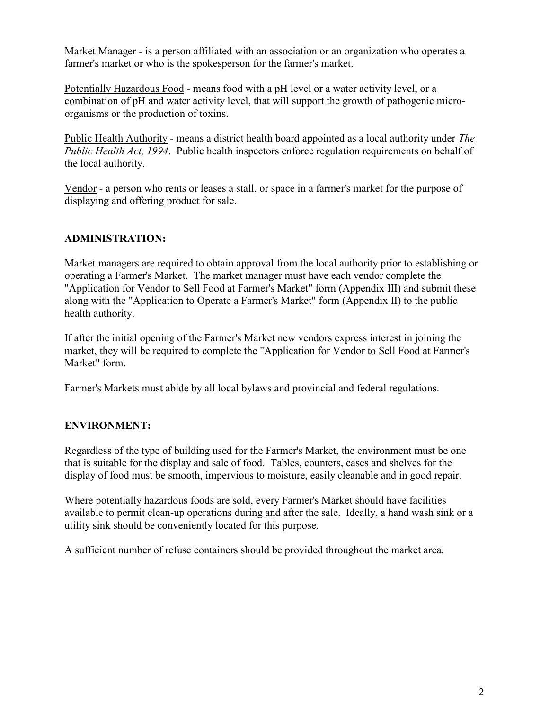Market Manager - is a person affiliated with an association or an organization who operates a farmer's market or who is the spokesperson for the farmer's market.

Potentially Hazardous Food - means food with a pH level or a water activity level, or a combination of pH and water activity level, that will support the growth of pathogenic microorganisms or the production of toxins.

Public Health Authority - means a district health board appointed as a local authority under The Public Health Act, 1994. Public health inspectors enforce regulation requirements on behalf of the local authority.

Vendor - a person who rents or leases a stall, or space in a farmer's market for the purpose of displaying and offering product for sale.

## ADMINISTRATION:

Market managers are required to obtain approval from the local authority prior to establishing or operating a Farmer's Market. The market manager must have each vendor complete the "Application for Vendor to Sell Food at Farmer's Market" form (Appendix III) and submit these along with the "Application to Operate a Farmer's Market" form (Appendix II) to the public health authority.

If after the initial opening of the Farmer's Market new vendors express interest in joining the market, they will be required to complete the "Application for Vendor to Sell Food at Farmer's Market" form.

Farmer's Markets must abide by all local bylaws and provincial and federal regulations.

## ENVIRONMENT:

Regardless of the type of building used for the Farmer's Market, the environment must be one that is suitable for the display and sale of food. Tables, counters, cases and shelves for the display of food must be smooth, impervious to moisture, easily cleanable and in good repair.

Where potentially hazardous foods are sold, every Farmer's Market should have facilities available to permit clean-up operations during and after the sale. Ideally, a hand wash sink or a utility sink should be conveniently located for this purpose.

A sufficient number of refuse containers should be provided throughout the market area.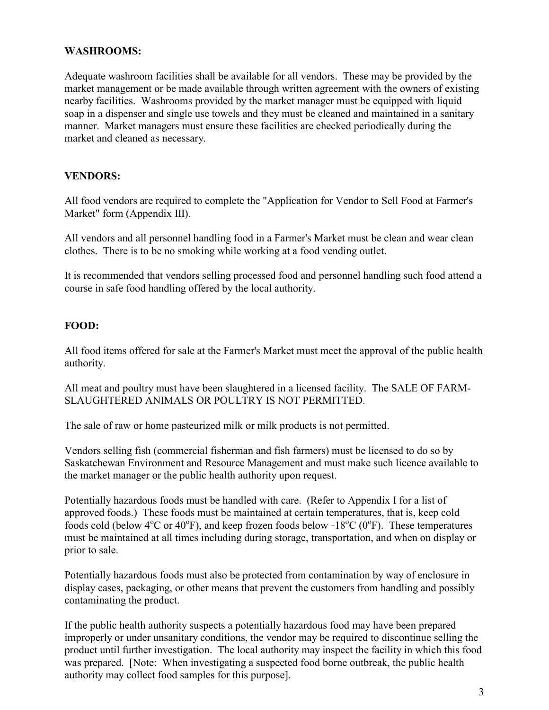#### WASHROOMS:

Adequate washroom facilities shall be available for all vendors. These may be provided by the market management or be made available through written agreement with the owners of existing nearby facilities. Washrooms provided by the market manager must be equipped with liquid soap in a dispenser and single use towels and they must be cleaned and maintained in a sanitary manner. Market managers must ensure these facilities are checked periodically during the market and cleaned as necessary.

#### VENDORS:

All food vendors are required to complete the "Application for Vendor to Sell Food at Farmer's Market" form (Appendix III).

All vendors and all personnel handling food in a Farmer's Market must be clean and wear clean clothes. There is to be no smoking while working at a food vending outlet.

It is recommended that vendors selling processed food and personnel handling such food attend a course in safe food handling offered by the local authority.

#### FOOD:

All food items offered for sale at the Farmer's Market must meet the approval of the public health authority.

All meat and poultry must have been slaughtered in a licensed facility. The SALE OF FARM-SLAUGHTERED ANIMALS OR POULTRY IS NOT PERMITTED.

The sale of raw or home pasteurized milk or milk products is not permitted.

Vendors selling fish (commercial fisherman and fish farmers) must be licensed to do so by Saskatchewan Environment and Resource Management and must make such licence available to the market manager or the public health authority upon request.

Potentially hazardous foods must be handled with care. (Refer to Appendix I for a list of approved foods.) These foods must be maintained at certain temperatures, that is, keep cold foods cold (below  $4^{\circ}$ C or  $40^{\circ}$ F), and keep frozen foods below  $-18^{\circ}$ C (0<sup>o</sup>F). These temperatures must be maintained at all times including during storage, transportation, and when on display or prior to sale.

Potentially hazardous foods must also be protected from contamination by way of enclosure in display cases, packaging, or other means that prevent the customers from handling and possibly contaminating the product.

If the public health authority suspects a potentially hazardous food may have been prepared improperly or under unsanitary conditions, the vendor may be required to discontinue selling the product until further investigation. The local authority may inspect the facility in which this food was prepared. [Note: When investigating a suspected food borne outbreak, the public health authority may collect food samples for this purpose].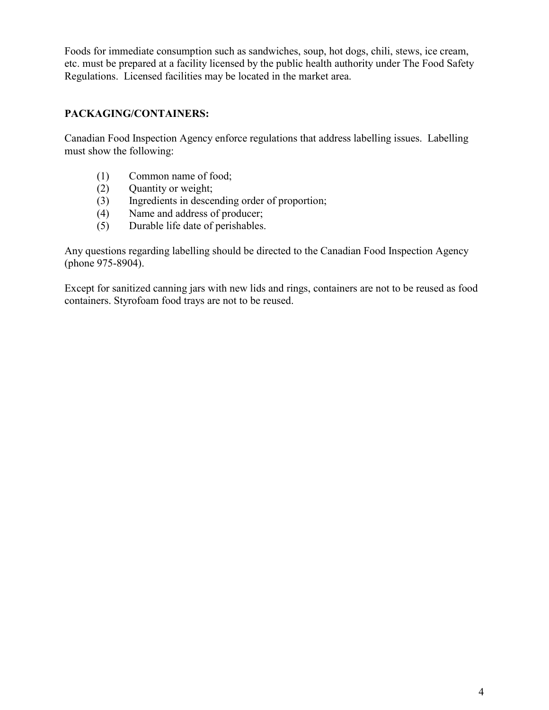Foods for immediate consumption such as sandwiches, soup, hot dogs, chili, stews, ice cream, etc. must be prepared at a facility licensed by the public health authority under The Food Safety Regulations. Licensed facilities may be located in the market area.

## PACKAGING/CONTAINERS:

Canadian Food Inspection Agency enforce regulations that address labelling issues. Labelling must show the following:

- (1) Common name of food;
- (2) Quantity or weight;
- (3) Ingredients in descending order of proportion;
- (4) Name and address of producer;
- (5) Durable life date of perishables.

Any questions regarding labelling should be directed to the Canadian Food Inspection Agency (phone 975-8904).

Except for sanitized canning jars with new lids and rings, containers are not to be reused as food containers. Styrofoam food trays are not to be reused.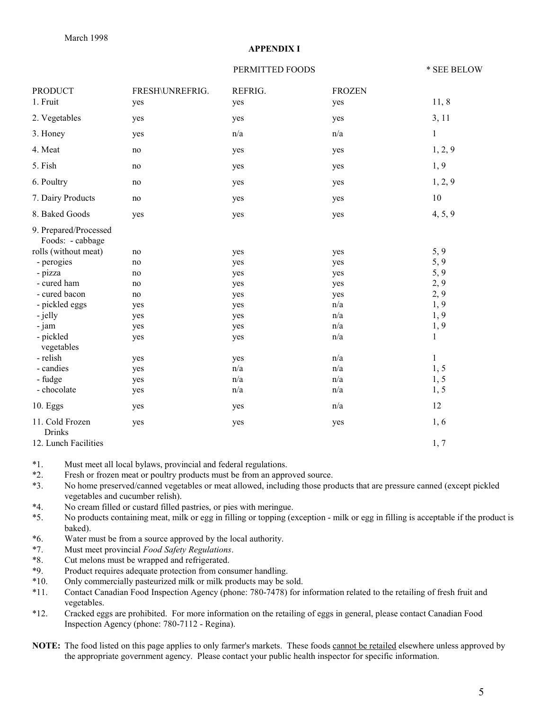#### APPENDIX I

#### PERMITTED FOODS  $*$  SEE BELOW

| <b>PRODUCT</b>                            | FRESH\UNREFRIG. | REFRIG. | <b>FROZEN</b> |              |
|-------------------------------------------|-----------------|---------|---------------|--------------|
| 1. Fruit                                  | yes             | yes     | yes           | 11, 8        |
| 2. Vegetables                             | yes             | yes     | yes           | 3, 11        |
| 3. Honey                                  | yes             | n/a     | n/a           | $\mathbf{1}$ |
| 4. Meat                                   | no              | yes     | yes           | 1, 2, 9      |
| 5. Fish                                   | no              | yes     | yes           | 1, 9         |
| 6. Poultry                                | no              | yes     | yes           | 1, 2, 9      |
| 7. Dairy Products                         | no              | yes     | yes           | 10           |
| 8. Baked Goods                            | yes             | yes     | yes           | 4, 5, 9      |
| 9. Prepared/Processed<br>Foods: - cabbage |                 |         |               |              |
| rolls (without meat)                      | no              | yes     | yes           | 5, 9         |
| - perogies                                | no              | yes     | yes           | 5, 9         |
| - pizza                                   | no              | yes     | yes           | 5, 9         |
| - cured ham                               | no              | yes     | yes           | 2, 9         |
| - cured bacon                             | no              | yes     | yes           | 2, 9         |
| - pickled eggs                            | yes             | yes     | n/a           | 1,9          |
| - jelly                                   | yes             | yes     | n/a           | 1,9          |
| - jam                                     | yes             | yes     | n/a           | 1,9          |
| - pickled<br>vegetables                   | yes             | yes     | n/a           | $\mathbf{1}$ |
| - relish                                  | yes             | yes     | n/a           | $\mathbf{1}$ |
| - candies                                 | yes             | n/a     | n/a           | 1, 5         |
| - fudge                                   | yes             | n/a     | n/a           | 1, 5         |
| - chocolate                               | yes             | n/a     | n/a           | 1, 5         |
| 10. Eggs                                  | yes             | yes     | n/a           | 12           |
| 11. Cold Frozen<br><b>Drinks</b>          | yes             | yes     | yes           | 1,6          |
| 12. Lunch Facilities                      |                 |         |               | 1, 7         |

\*1. Must meet all local bylaws, provincial and federal regulations.

\*2. Fresh or frozen meat or poultry products must be from an approved source.

\*3. No home preserved/canned vegetables or meat allowed, including those products that are pressure canned (except pickled vegetables and cucumber relish).

- \*4. No cream filled or custard filled pastries, or pies with meringue.
- \*5. No products containing meat, milk or egg in filling or topping (exception milk or egg in filling is acceptable if the product is baked).
- \*6. Water must be from a source approved by the local authority.
- \*7. Must meet provincial Food Safety Regulations.
- \*8. Cut melons must be wrapped and refrigerated.
- \*9. Product requires adequate protection from consumer handling.
- \*10. Only commercially pasteurized milk or milk products may be sold.
- \*11. Contact Canadian Food Inspection Agency (phone: 780-7478) for information related to the retailing of fresh fruit and vegetables.
- \*12. Cracked eggs are prohibited. For more information on the retailing of eggs in general, please contact Canadian Food Inspection Agency (phone: 780-7112 - Regina).
- NOTE: The food listed on this page applies to only farmer's markets. These foods cannot be retailed elsewhere unless approved by the appropriate government agency. Please contact your public health inspector for specific information.